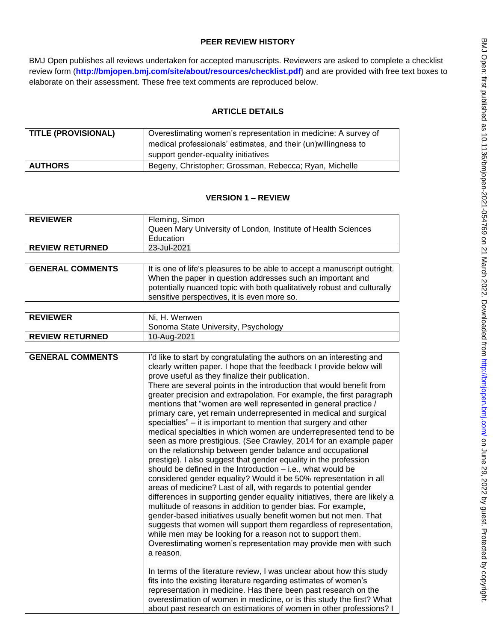# **PEER REVIEW HISTORY**

BMJ Open publishes all reviews undertaken for accepted manuscripts. Reviewers are asked to complete a checklist review form (**[http://bmjopen.bmj.com/site/about/resources/checklist.pdf\)](http://bmjopen.bmj.com/site/about/resources/checklist.pdf)** and are provided with free text boxes to elaborate on their assessment. These free text comments are reproduced below.

# **ARTICLE DETAILS**

| <b>TITLE (PROVISIONAL)</b> | Overestimating women's representation in medicine: A survey of<br>medical professionals' estimates, and their (un) willingness to |
|----------------------------|-----------------------------------------------------------------------------------------------------------------------------------|
|                            | support gender-equality initiatives                                                                                               |
| <b>AUTHORS</b>             | Begeny, Christopher; Grossman, Rebecca; Ryan, Michelle                                                                            |

# **VERSION 1 – REVIEW**

| <b>REVIEWER</b>        | Fleming, Simon<br>Queen Mary University of London, Institute of Health Sciences |
|------------------------|---------------------------------------------------------------------------------|
|                        | Education                                                                       |
| <b>REVIEW RETURNED</b> | 23-Jul-2021                                                                     |

| <b>GENERAL COMMENTS</b> | It is one of life's pleasures to be able to accept a manuscript outright. |
|-------------------------|---------------------------------------------------------------------------|
|                         | When the paper in question addresses such an important and                |
|                         | potentially nuanced topic with both qualitatively robust and culturally   |
|                         | sensitive perspectives, it is even more so.                               |

| <b>REVIEWER</b>        | Ni. H. Wenwen<br>Sonoma State University, Psychology |
|------------------------|------------------------------------------------------|
| <b>REVIEW RETURNED</b> | 10-Aug-2021                                          |

| <b>GENERAL COMMENTS</b> | I'd like to start by congratulating the authors on an interesting and<br>clearly written paper. I hope that the feedback I provide below will<br>prove useful as they finalize their publication.<br>There are several points in the introduction that would benefit from<br>greater precision and extrapolation. For example, the first paragraph<br>mentions that "women are well represented in general practice /<br>primary care, yet remain underrepresented in medical and surgical<br>specialties" - it is important to mention that surgery and other<br>medical specialties in which women are underrepresented tend to be<br>seen as more prestigious. (See Crawley, 2014 for an example paper<br>on the relationship between gender balance and occupational<br>prestige). I also suggest that gender equality in the profession<br>should be defined in the Introduction - i.e., what would be<br>considered gender equality? Would it be 50% representation in all<br>areas of medicine? Last of all, with regards to potential gender<br>differences in supporting gender equality initiatives, there are likely a |
|-------------------------|-----------------------------------------------------------------------------------------------------------------------------------------------------------------------------------------------------------------------------------------------------------------------------------------------------------------------------------------------------------------------------------------------------------------------------------------------------------------------------------------------------------------------------------------------------------------------------------------------------------------------------------------------------------------------------------------------------------------------------------------------------------------------------------------------------------------------------------------------------------------------------------------------------------------------------------------------------------------------------------------------------------------------------------------------------------------------------------------------------------------------------------|
|                         | multitude of reasons in addition to gender bias. For example,<br>gender-based initiatives usually benefit women but not men. That<br>suggests that women will support them regardless of representation,<br>while men may be looking for a reason not to support them.<br>Overestimating women's representation may provide men with such<br>a reason.                                                                                                                                                                                                                                                                                                                                                                                                                                                                                                                                                                                                                                                                                                                                                                            |
|                         | In terms of the literature review, I was unclear about how this study<br>fits into the existing literature regarding estimates of women's<br>representation in medicine. Has there been past research on the<br>overestimation of women in medicine, or is this study the first? What<br>about past research on estimations of women in other professions? I                                                                                                                                                                                                                                                                                                                                                                                                                                                                                                                                                                                                                                                                                                                                                                      |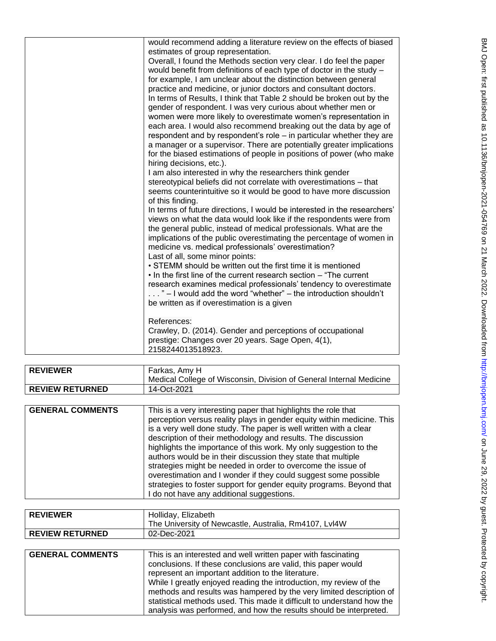| would recommend adding a literature review on the effects of biased      |
|--------------------------------------------------------------------------|
| estimates of group representation.                                       |
| Overall, I found the Methods section very clear. I do feel the paper     |
| would benefit from definitions of each type of doctor in the study -     |
| for example, I am unclear about the distinction between general          |
| practice and medicine, or junior doctors and consultant doctors.         |
| In terms of Results, I think that Table 2 should be broken out by the    |
| gender of respondent. I was very curious about whether men or            |
| women were more likely to overestimate women's representation in         |
| each area. I would also recommend breaking out the data by age of        |
| respondent and by respondent's role - in particular whether they are     |
| a manager or a supervisor. There are potentially greater implications    |
| for the biased estimations of people in positions of power (who make     |
| hiring decisions, etc.).                                                 |
| I am also interested in why the researchers think gender                 |
| stereotypical beliefs did not correlate with overestimations - that      |
| seems counterintuitive so it would be good to have more discussion       |
| of this finding.                                                         |
| In terms of future directions, I would be interested in the researchers' |
| views on what the data would look like if the respondents were from      |
|                                                                          |
| the general public, instead of medical professionals. What are the       |
| implications of the public overestimating the percentage of women in     |
| medicine vs. medical professionals' overestimation?                      |
| Last of all, some minor points:                                          |
| • STEMM should be written out the first time it is mentioned             |
| . In the first line of the current research section - "The current"      |
| research examines medical professionals' tendency to overestimate        |
| " - I would add the word "whether" - the introduction shouldn't          |
| be written as if overestimation is a given                               |
|                                                                          |
| References:                                                              |
| Crawley, D. (2014). Gender and perceptions of occupational               |
| prestige: Changes over 20 years. Sage Open, 4(1),                        |
| 2158244013518923.                                                        |

| <b>REVIEWER</b>         | Farkas, Amy H                                                                                                                                                                                                                                                                                                                                                                                                                                                                                                                                                                                                                                                             |
|-------------------------|---------------------------------------------------------------------------------------------------------------------------------------------------------------------------------------------------------------------------------------------------------------------------------------------------------------------------------------------------------------------------------------------------------------------------------------------------------------------------------------------------------------------------------------------------------------------------------------------------------------------------------------------------------------------------|
|                         | Medical College of Wisconsin, Division of General Internal Medicine                                                                                                                                                                                                                                                                                                                                                                                                                                                                                                                                                                                                       |
| <b>REVIEW RETURNED</b>  | 14-Oct-2021                                                                                                                                                                                                                                                                                                                                                                                                                                                                                                                                                                                                                                                               |
|                         |                                                                                                                                                                                                                                                                                                                                                                                                                                                                                                                                                                                                                                                                           |
| <b>GENERAL COMMENTS</b> | This is a very interesting paper that highlights the role that<br>perception versus reality plays in gender equity within medicine. This<br>is a very well done study. The paper is well written with a clear<br>description of their methodology and results. The discussion<br>highlights the importance of this work. My only suggestion to the<br>authors would be in their discussion they state that multiple<br>strategies might be needed in order to overcome the issue of<br>overestimation and I wonder if they could suggest some possible<br>strategies to foster support for gender equity programs. Beyond that<br>do not have any additional suggestions. |

| <b>REVIEWER</b>        | Holliday, Elizabeth<br>The University of Newcastle, Australia, Rm4107, Lvl4W |
|------------------------|------------------------------------------------------------------------------|
| <b>REVIEW RETURNED</b> | 02-Dec-2021                                                                  |

| <b>GENERAL COMMENTS</b> | This is an interested and well written paper with fascinating<br>conclusions. If these conclusions are valid, this paper would<br>represent an important addition to the literature.<br>While I greatly enjoyed reading the introduction, my review of the<br>methods and results was hampered by the very limited description of<br>statistical methods used. This made it difficult to understand how the |
|-------------------------|-------------------------------------------------------------------------------------------------------------------------------------------------------------------------------------------------------------------------------------------------------------------------------------------------------------------------------------------------------------------------------------------------------------|
|                         | analysis was performed, and how the results should be interpreted.                                                                                                                                                                                                                                                                                                                                          |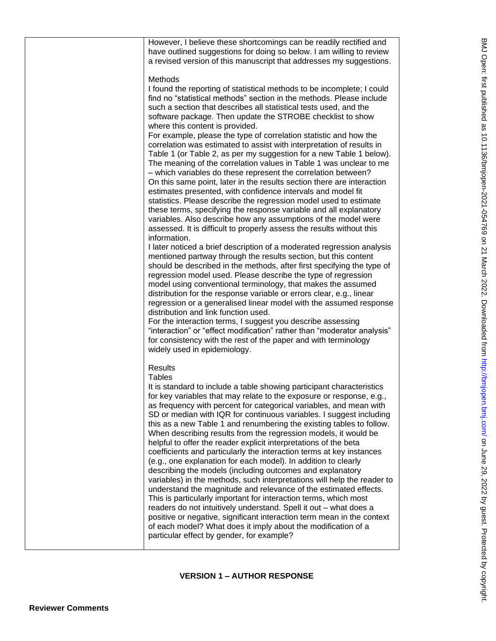| However, I believe these shortcomings can be readily rectified and<br>have outlined suggestions for doing so below. I am willing to review<br>a revised version of this manuscript that addresses my suggestions.<br>Methods<br>I found the reporting of statistical methods to be incomplete; I could<br>find no "statistical methods" section in the methods. Please include<br>such a section that describes all statistical tests used, and the<br>software package. Then update the STROBE checklist to show<br>where this content is provided.<br>For example, please the type of correlation statistic and how the<br>correlation was estimated to assist with interpretation of results in<br>Table 1 (or Table 2, as per my suggestion for a new Table 1 below).<br>The meaning of the correlation values in Table 1 was unclear to me<br>- which variables do these represent the correlation between?<br>On this same point, later in the results section there are interaction<br>estimates presented, with confidence intervals and model fit<br>statistics. Please describe the regression model used to estimate<br>these terms, specifying the response variable and all explanatory<br>variables. Also describe how any assumptions of the model were<br>assessed. It is difficult to properly assess the results without this<br>information.<br>I later noticed a brief description of a moderated regression analysis<br>mentioned partway through the results section, but this content<br>should be described in the methods, after first specifying the type of<br>regression model used. Please describe the type of regression<br>model using conventional terminology, that makes the assumed<br>distribution for the response variable or errors clear, e.g., linear<br>regression or a generalised linear model with the assumed response<br>distribution and link function used.<br>For the interaction terms, I suggest you describe assessing |
|------------------------------------------------------------------------------------------------------------------------------------------------------------------------------------------------------------------------------------------------------------------------------------------------------------------------------------------------------------------------------------------------------------------------------------------------------------------------------------------------------------------------------------------------------------------------------------------------------------------------------------------------------------------------------------------------------------------------------------------------------------------------------------------------------------------------------------------------------------------------------------------------------------------------------------------------------------------------------------------------------------------------------------------------------------------------------------------------------------------------------------------------------------------------------------------------------------------------------------------------------------------------------------------------------------------------------------------------------------------------------------------------------------------------------------------------------------------------------------------------------------------------------------------------------------------------------------------------------------------------------------------------------------------------------------------------------------------------------------------------------------------------------------------------------------------------------------------------------------------------------------------------------------------------------------------------------------------------------|
| for consistency with the rest of the paper and with terminology<br>widely used in epidemiology.<br><b>Results</b><br><b>Tables</b><br>It is standard to include a table showing participant characteristics<br>for key variables that may relate to the exposure or response, e.g.,<br>as frequency with percent for categorical variables, and mean with<br>SD or median with IQR for continuous variables. I suggest including<br>this as a new Table 1 and renumbering the existing tables to follow.<br>When describing results from the regression models, it would be<br>helpful to offer the reader explicit interpretations of the beta<br>coefficients and particularly the interaction terms at key instances<br>(e.g., one explanation for each model). In addition to clearly<br>describing the models (including outcomes and explanatory<br>variables) in the methods, such interpretations will help the reader to<br>understand the magnitude and relevance of the estimated effects.<br>This is particularly important for interaction terms, which most<br>readers do not intuitively understand. Spell it out - what does a<br>positive or negative, significant interaction term mean in the context<br>of each model? What does it imply about the modification of a<br>particular effect by gender, for example?                                                                                                                                                                                                                                                                                                                                                                                                                                                                                                                                                                                                                                       |

## **VERSION 1 – AUTHOR RESPONSE**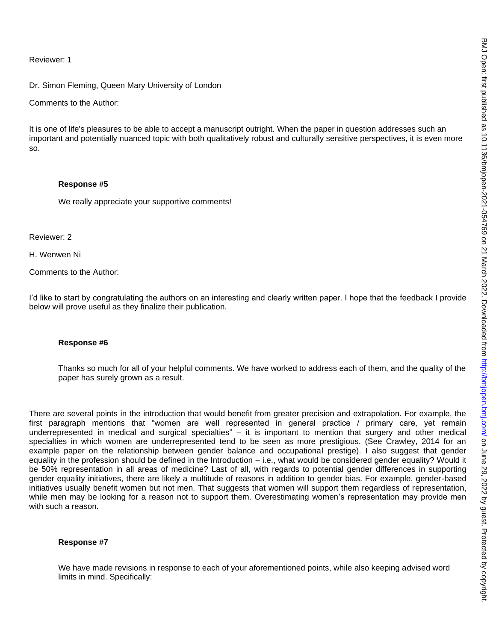Reviewer: 1

Dr. Simon Fleming, Queen Mary University of London

Comments to the Author:

It is one of life's pleasures to be able to accept a manuscript outright. When the paper in question addresses such an important and potentially nuanced topic with both qualitatively robust and culturally sensitive perspectives, it is even more so.

#### **Response #5**

We really appreciate your supportive comments!

Reviewer: 2

H. Wenwen Ni

Comments to the Author:

I'd like to start by congratulating the authors on an interesting and clearly written paper. I hope that the feedback I provide below will prove useful as they finalize their publication.

## **Response #6**

Thanks so much for all of your helpful comments. We have worked to address each of them, and the quality of the paper has surely grown as a result.

There are several points in the introduction that would benefit from greater precision and extrapolation. For example, the first paragraph mentions that "women are well represented in general practice / primary care, yet remain underrepresented in medical and surgical specialties" – it is important to mention that surgery and other medical specialties in which women are underrepresented tend to be seen as more prestigious. (See Crawley, 2014 for an example paper on the relationship between gender balance and occupational prestige). I also suggest that gender equality in the profession should be defined in the Introduction – i.e., what would be considered gender equality? Would it be 50% representation in all areas of medicine? Last of all, with regards to potential gender differences in supporting gender equality initiatives, there are likely a multitude of reasons in addition to gender bias. For example, gender-based initiatives usually benefit women but not men. That suggests that women will support them regardless of representation, while men may be looking for a reason not to support them. Overestimating women's representation may provide men with such a reason.

#### **Response #7**

We have made revisions in response to each of your aforementioned points, while also keeping advised word limits in mind. Specifically: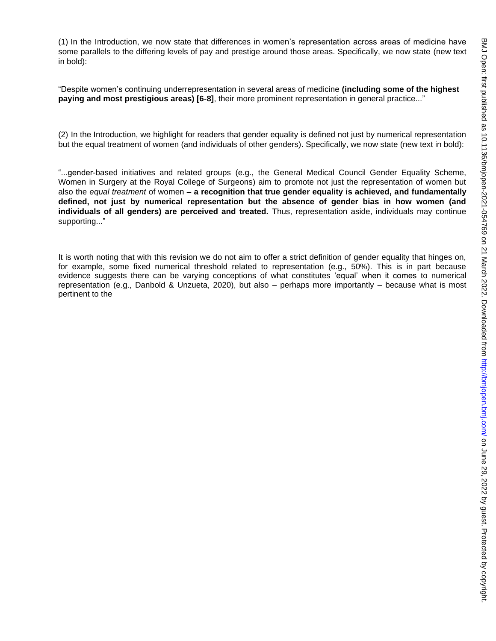(1) In the Introduction, we now state that differences in women's representation across areas of medicine have some parallels to the differing levels of pay and prestige around those areas. Specifically, we now state (new text in bold):

"Despite women's continuing underrepresentation in several areas of medicine **(including some of the highest paying and most prestigious areas) [6-8]**, their more prominent representation in general practice..."

(2) In the Introduction, we highlight for readers that gender equality is defined not just by numerical representation but the equal treatment of women (and individuals of other genders). Specifically, we now state (new text in bold):

"...gender-based initiatives and related groups (e.g., the General Medical Council Gender Equality Scheme, Women in Surgery at the Royal College of Surgeons) aim to promote not just the representation of women but also the *equal treatment* of women **– a recognition that true gender equality is achieved, and fundamentally defined, not just by numerical representation but the absence of gender bias in how women (and individuals of all genders) are perceived and treated.** Thus, representation aside, individuals may continue supporting..."

It is worth noting that with this revision we do not aim to offer a strict definition of gender equality that hinges on, for example, some fixed numerical threshold related to representation (e.g., 50%). This is in part because evidence suggests there can be varying conceptions of what constitutes 'equal' when it comes to numerical representation (e.g., Danbold & Unzueta, 2020), but also – perhaps more importantly – because what is most pertinent to the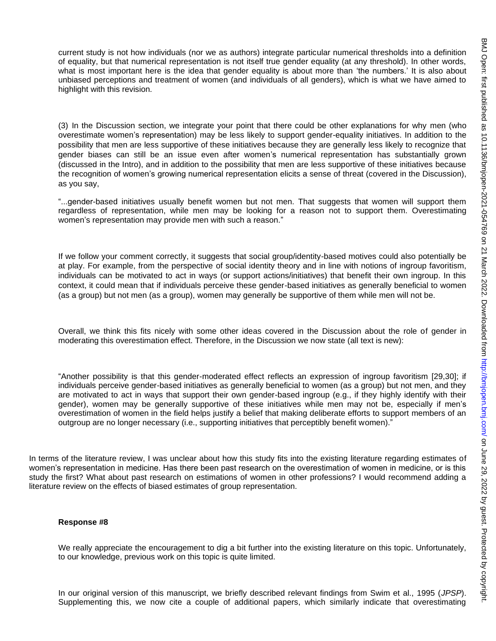current study is not how individuals (nor we as authors) integrate particular numerical thresholds into a definition of equality, but that numerical representation is not itself true gender equality (at any threshold). In other words, what is most important here is the idea that gender equality is about more than 'the numbers.' It is also about unbiased perceptions and treatment of women (and individuals of all genders), which is what we have aimed to highlight with this revision.

(3) In the Discussion section, we integrate your point that there could be other explanations for why men (who overestimate women's representation) may be less likely to support gender-equality initiatives. In addition to the possibility that men are less supportive of these initiatives because they are generally less likely to recognize that gender biases can still be an issue even after women's numerical representation has substantially grown (discussed in the Intro), and in addition to the possibility that men are less supportive of these initiatives because the recognition of women's growing numerical representation elicits a sense of threat (covered in the Discussion), as you say,

"...gender-based initiatives usually benefit women but not men. That suggests that women will support them regardless of representation, while men may be looking for a reason not to support them. Overestimating women's representation may provide men with such a reason."

If we follow your comment correctly, it suggests that social group/identity-based motives could also potentially be at play. For example, from the perspective of social identity theory and in line with notions of ingroup favoritism, individuals can be motivated to act in ways (or support actions/initiatives) that benefit their own ingroup. In this context, it could mean that if individuals perceive these gender-based initiatives as generally beneficial to women (as a group) but not men (as a group), women may generally be supportive of them while men will not be.

Overall, we think this fits nicely with some other ideas covered in the Discussion about the role of gender in moderating this overestimation effect. Therefore, in the Discussion we now state (all text is new):

"Another possibility is that this gender-moderated effect reflects an expression of ingroup favoritism [29,30]; if individuals perceive gender-based initiatives as generally beneficial to women (as a group) but not men, and they are motivated to act in ways that support their own gender-based ingroup (e.g., if they highly identify with their gender), women may be generally supportive of these initiatives while men may not be, especially if men's overestimation of women in the field helps justify a belief that making deliberate efforts to support members of an outgroup are no longer necessary (i.e., supporting initiatives that perceptibly benefit women)."

In terms of the literature review, I was unclear about how this study fits into the existing literature regarding estimates of women's representation in medicine. Has there been past research on the overestimation of women in medicine, or is this study the first? What about past research on estimations of women in other professions? I would recommend adding a literature review on the effects of biased estimates of group representation.

#### **Response #8**

We really appreciate the encouragement to dig a bit further into the existing literature on this topic. Unfortunately, to our knowledge, previous work on this topic is quite limited.

In our original version of this manuscript, we briefly described relevant findings from Swim et al., 1995 (*JPSP*). Supplementing this, we now cite a couple of additional papers, which similarly indicate that overestimating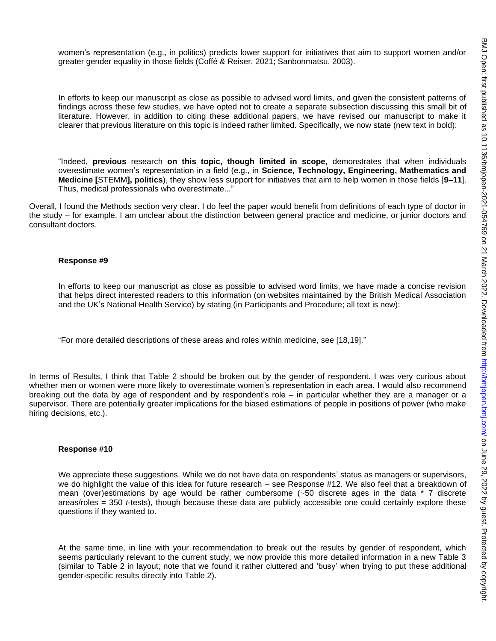women's representation (e.g., in politics) predicts lower support for initiatives that aim to support women and/or greater gender equality in those fields (Coffé & Reiser, 2021; Sanbonmatsu, 2003).

In efforts to keep our manuscript as close as possible to advised word limits, and given the consistent patterns of findings across these few studies, we have opted not to create a separate subsection discussing this small bit of literature. However, in addition to citing these additional papers, we have revised our manuscript to make it clearer that previous literature on this topic is indeed rather limited. Specifically, we now state (new text in bold):

"Indeed, **previous** research **on this topic, though limited in scope,** demonstrates that when individuals overestimate women's representation in a field (e.g., in **Science, Technology, Engineering, Mathematics and Medicine [**STEMM**], politics**), they show less support for initiatives that aim to help women in those fields [**9–11**]. Thus, medical professionals who overestimate..."

Overall, I found the Methods section very clear. I do feel the paper would benefit from definitions of each type of doctor in the study – for example, I am unclear about the distinction between general practice and medicine, or junior doctors and consultant doctors.

#### **Response #9**

In efforts to keep our manuscript as close as possible to advised word limits, we have made a concise revision that helps direct interested readers to this information (on websites maintained by the British Medical Association and the UK's National Health Service) by stating (in Participants and Procedure; all text is new):

"For more detailed descriptions of these areas and roles within medicine, see [18,19]."

In terms of Results, I think that Table 2 should be broken out by the gender of respondent. I was very curious about whether men or women were more likely to overestimate women's representation in each area. I would also recommend breaking out the data by age of respondent and by respondent's role – in particular whether they are a manager or a supervisor. There are potentially greater implications for the biased estimations of people in positions of power (who make hiring decisions, etc.).

#### **Response #10**

We appreciate these suggestions. While we do not have data on respondents' status as managers or supervisors, we do highlight the value of this idea for future research – see Response #12. We also feel that a breakdown of mean (over)estimations by age would be rather cumbersome (~50 discrete ages in the data \* 7 discrete areas/roles = 350 *t*-tests), though because these data are publicly accessible one could certainly explore these questions if they wanted to.

At the same time, in line with your recommendation to break out the results by gender of respondent, which seems particularly relevant to the current study, we now provide this more detailed information in a new Table 3 (similar to Table 2 in layout; note that we found it rather cluttered and 'busy' when trying to put these additional gender-specific results directly into Table 2).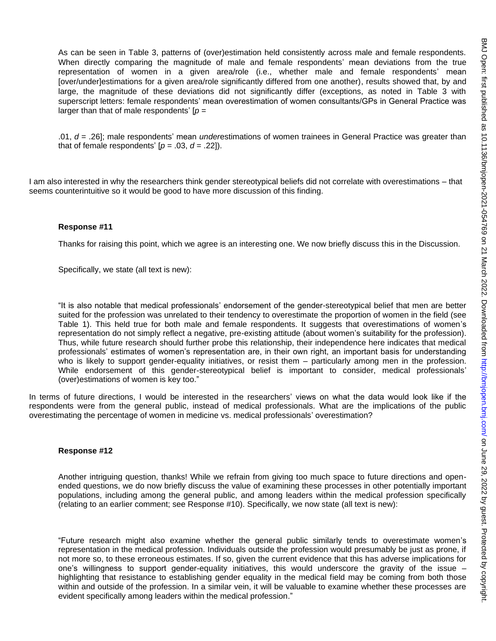As can be seen in Table 3, patterns of (over)estimation held consistently across male and female respondents. When directly comparing the magnitude of male and female respondents' mean deviations from the true representation of women in a given area/role (i.e., whether male and female respondents' mean [over/under]estimations for a given area/role significantly differed from one another), results showed that, by and large, the magnitude of these deviations did not significantly differ (exceptions, as noted in Table 3 with superscript letters: female respondents' mean overestimation of women consultants/GPs in General Practice was larger than that of male respondents' [*p* =

.01, *d* = .26]; male respondents' mean *under*estimations of women trainees in General Practice was greater than that of female respondents'  $[p = .03, d = .22]$ ).

I am also interested in why the researchers think gender stereotypical beliefs did not correlate with overestimations – that seems counterintuitive so it would be good to have more discussion of this finding.

#### **Response #11**

Thanks for raising this point, which we agree is an interesting one. We now briefly discuss this in the Discussion.

Specifically, we state (all text is new):

"It is also notable that medical professionals' endorsement of the gender-stereotypical belief that men are better suited for the profession was unrelated to their tendency to overestimate the proportion of women in the field (see Table 1). This held true for both male and female respondents. It suggests that overestimations of women's representation do not simply reflect a negative, pre-existing attitude (about women's suitability for the profession). Thus, while future research should further probe this relationship, their independence here indicates that medical professionals' estimates of women's representation are, in their own right, an important basis for understanding who is likely to support gender-equality initiatives, or resist them – particularly among men in the profession. While endorsement of this gender-stereotypical belief is important to consider, medical professionals' (over)estimations of women is key too."

In terms of future directions, I would be interested in the researchers' views on what the data would look like if the respondents were from the general public, instead of medical professionals. What are the implications of the public overestimating the percentage of women in medicine vs. medical professionals' overestimation?

#### **Response #12**

Another intriguing question, thanks! While we refrain from giving too much space to future directions and openended questions, we do now briefly discuss the value of examining these processes in other potentially important populations, including among the general public, and among leaders within the medical profession specifically (relating to an earlier comment; see Response #10). Specifically, we now state (all text is new):

"Future research might also examine whether the general public similarly tends to overestimate women's representation in the medical profession. Individuals outside the profession would presumably be just as prone, if not more so, to these erroneous estimates. If so, given the current evidence that this has adverse implications for one's willingness to support gender-equality initiatives, this would underscore the gravity of the issue – highlighting that resistance to establishing gender equality in the medical field may be coming from both those within and outside of the profession. In a similar vein, it will be valuable to examine whether these processes are evident specifically among leaders within the medical profession."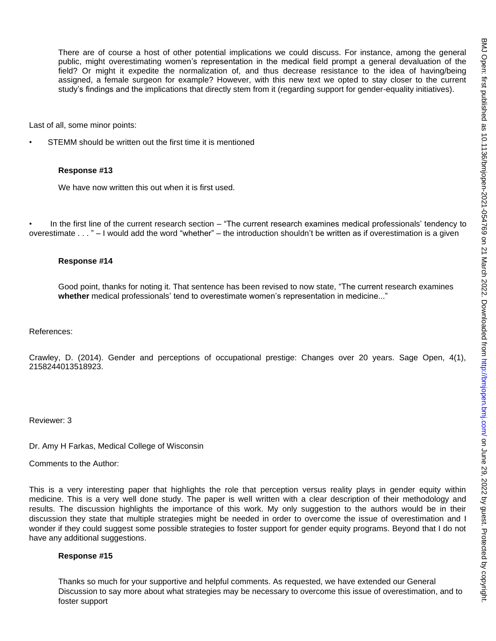There are of course a host of other potential implications we could discuss. For instance, among the general public, might overestimating women's representation in the medical field prompt a general devaluation of the field? Or might it expedite the normalization of, and thus decrease resistance to the idea of having/being assigned, a female surgeon for example? However, with this new text we opted to stay closer to the current study's findings and the implications that directly stem from it (regarding support for gender-equality initiatives).

Last of all, some minor points:

STEMM should be written out the first time it is mentioned

#### **Response #13**

We have now written this out when it is first used.

In the first line of the current research section – "The current research examines medical professionals' tendency to overestimate . . . " – I would add the word "whether" – the introduction shouldn't be written as if overestimation is a given

#### **Response #14**

Good point, thanks for noting it. That sentence has been revised to now state, "The current research examines **whether** medical professionals' tend to overestimate women's representation in medicine..."

References:

Crawley, D. (2014). Gender and perceptions of occupational prestige: Changes over 20 years. Sage Open, 4(1), 2158244013518923.

Reviewer: 3

Dr. Amy H Farkas, Medical College of Wisconsin

Comments to the Author:

This is a very interesting paper that highlights the role that perception versus reality plays in gender equity within medicine. This is a very well done study. The paper is well written with a clear description of their methodology and results. The discussion highlights the importance of this work. My only suggestion to the authors would be in their discussion they state that multiple strategies might be needed in order to overcome the issue of overestimation and I wonder if they could suggest some possible strategies to foster support for gender equity programs. Beyond that I do not have any additional suggestions.

#### **Response #15**

Thanks so much for your supportive and helpful comments. As requested, we have extended our General Discussion to say more about what strategies may be necessary to overcome this issue of overestimation, and to foster support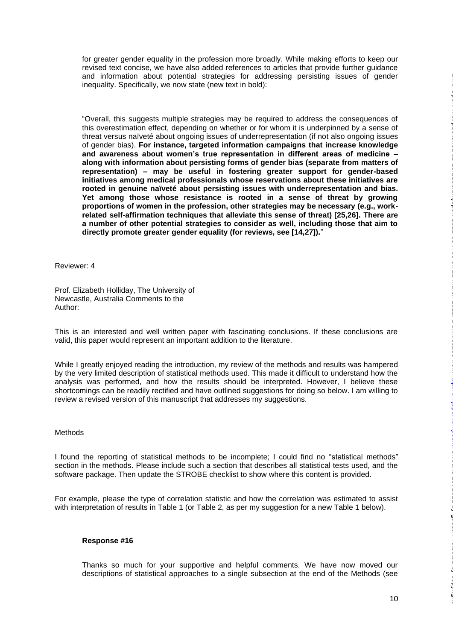for greater gender equality in the profession more broadly. While making efforts to keep our revised text concise, we have also added references to articles that provide further guidance and information about potential strategies for addressing persisting issues of gender inequality. Specifically, we now state (new text in bold):

"Overall, this suggests multiple strategies may be required to address the consequences of this overestimation effect, depending on whether or for whom it is underpinned by a sense of threat versus naïveté about ongoing issues of underrepresentation (if not also ongoing issues of gender bias). **For instance, targeted information campaigns that increase knowledge and awareness about women's true representation in different areas of medicine – along with information about persisting forms of gender bias (separate from matters of representation) – may be useful in fostering greater support for gender-based initiatives among medical professionals whose reservations about these initiatives are rooted in genuine naïveté about persisting issues with underrepresentation and bias. Yet among those whose resistance is rooted in a sense of threat by growing proportions of women in the profession, other strategies may be necessary (e.g., workrelated self-affirmation techniques that alleviate this sense of threat) [25,26]. There are a number of other potential strategies to consider as well, including those that aim to directly promote greater gender equality (for reviews, see [14,27]).**"

Reviewer: 4

Prof. Elizabeth Holliday, The University of Newcastle, Australia Comments to the Author:

This is an interested and well written paper with fascinating conclusions. If these conclusions are valid, this paper would represent an important addition to the literature.

While I greatly enjoyed reading the introduction, my review of the methods and results was hampered by the very limited description of statistical methods used. This made it difficult to understand how the analysis was performed, and how the results should be interpreted. However, I believe these shortcomings can be readily rectified and have outlined suggestions for doing so below. I am willing to review a revised version of this manuscript that addresses my suggestions.

## **Methods**

I found the reporting of statistical methods to be incomplete; I could find no "statistical methods" section in the methods. Please include such a section that describes all statistical tests used, and the software package. Then update the STROBE checklist to show where this content is provided.

For example, please the type of correlation statistic and how the correlation was estimated to assist with interpretation of results in Table 1 (or Table 2, as per my suggestion for a new Table 1 below).

## **Response #16**

Thanks so much for your supportive and helpful comments. We have now moved our descriptions of statistical approaches to a single subsection at the end of the Methods (see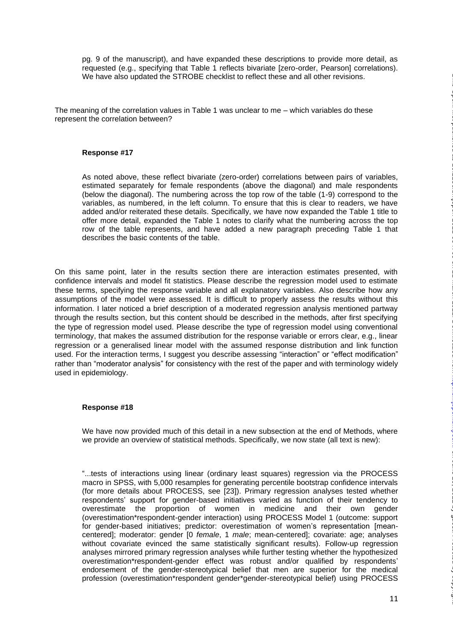pg. 9 of the manuscript), and have expanded these descriptions to provide more detail, as requested (e.g., specifying that Table 1 reflects bivariate [zero-order, Pearson] correlations). We have also updated the STROBE checklist to reflect these and all other revisions.

The meaning of the correlation values in Table 1 was unclear to me – which variables do these represent the correlation between?

#### **Response #17**

As noted above, these reflect bivariate (zero-order) correlations between pairs of variables, estimated separately for female respondents (above the diagonal) and male respondents (below the diagonal). The numbering across the top row of the table (1-9) correspond to the variables, as numbered, in the left column. To ensure that this is clear to readers, we have added and/or reiterated these details. Specifically, we have now expanded the Table 1 title to offer more detail, expanded the Table 1 notes to clarify what the numbering across the top row of the table represents, and have added a new paragraph preceding Table 1 that describes the basic contents of the table.

On this same point, later in the results section there are interaction estimates presented, with confidence intervals and model fit statistics. Please describe the regression model used to estimate these terms, specifying the response variable and all explanatory variables. Also describe how any assumptions of the model were assessed. It is difficult to properly assess the results without this information. I later noticed a brief description of a moderated regression analysis mentioned partway through the results section, but this content should be described in the methods, after first specifying the type of regression model used. Please describe the type of regression model using conventional terminology, that makes the assumed distribution for the response variable or errors clear, e.g., linear regression or a generalised linear model with the assumed response distribution and link function used. For the interaction terms, I suggest you describe assessing "interaction" or "effect modification" rather than "moderator analysis" for consistency with the rest of the paper and with terminology widely used in epidemiology.

#### **Response #18**

We have now provided much of this detail in a new subsection at the end of Methods, where we provide an overview of statistical methods. Specifically, we now state (all text is new):

"...tests of interactions using linear (ordinary least squares) regression via the PROCESS macro in SPSS, with 5,000 resamples for generating percentile bootstrap confidence intervals (for more details about PROCESS, see [23]). Primary regression analyses tested whether respondents' support for gender-based initiatives varied as function of their tendency to overestimate the proportion of women in medicine and their own gender (overestimation\*respondent-gender interaction) using PROCESS Model 1 (outcome: support for gender-based initiatives; predictor: overestimation of women's representation [meancentered]; moderator: gender [0 *female*, 1 *male*; mean-centered]; covariate: age; analyses without covariate evinced the same statistically significant results). Follow-up regression analyses mirrored primary regression analyses while further testing whether the hypothesized overestimation\*respondent-gender effect was robust and/or qualified by respondents' endorsement of the gender-stereotypical belief that men are superior for the medical profession (overestimation\*respondent gender\*gender-stereotypical belief) using PROCESS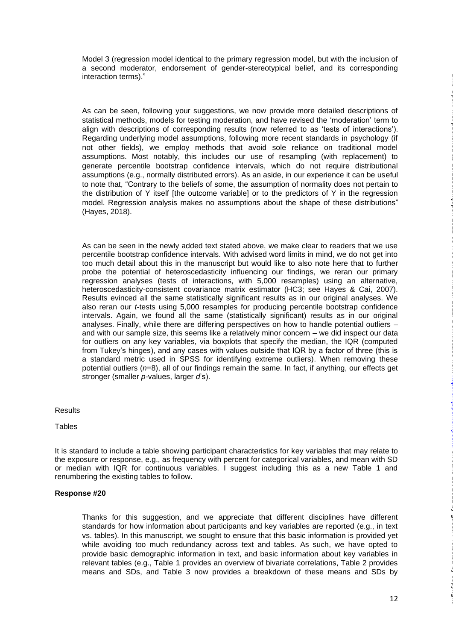Model 3 (regression model identical to the primary regression model, but with the inclusion of a second moderator, endorsement of gender-stereotypical belief, and its corresponding interaction terms)."

As can be seen, following your suggestions, we now provide more detailed descriptions of statistical methods, models for testing moderation, and have revised the 'moderation' term to align with descriptions of corresponding results (now referred to as 'tests of interactions'). Regarding underlying model assumptions, following more recent standards in psychology (if not other fields), we employ methods that avoid sole reliance on traditional model assumptions. Most notably, this includes our use of resampling (with replacement) to generate percentile bootstrap confidence intervals, which do not require distributional assumptions (e.g., normally distributed errors). As an aside, in our experience it can be useful to note that, "Contrary to the beliefs of some, the assumption of normality does not pertain to the distribution of Y itself [the outcome variable] or to the predictors of Y in the regression model. Regression analysis makes no assumptions about the shape of these distributions" (Hayes, 2018).

As can be seen in the newly added text stated above, we make clear to readers that we use percentile bootstrap confidence intervals. With advised word limits in mind, we do not get into too much detail about this in the manuscript but would like to also note here that to further probe the potential of heteroscedasticity influencing our findings, we reran our primary regression analyses (tests of interactions, with 5,000 resamples) using an alternative, heteroscedasticity-consistent covariance matrix estimator (HC3; see Hayes & Cai, 2007). Results evinced all the same statistically significant results as in our original analyses. We also reran our *t*-tests using 5,000 resamples for producing percentile bootstrap confidence intervals. Again, we found all the same (statistically significant) results as in our original analyses. Finally, while there are differing perspectives on how to handle potential outliers – and with our sample size, this seems like a relatively minor concern – we did inspect our data for outliers on any key variables, via boxplots that specify the median, the IQR (computed from Tukey's hinges), and any cases with values outside that IQR by a factor of three (this is a standard metric used in SPSS for identifying extreme outliers). When removing these potential outliers (*n*=8), all of our findings remain the same. In fact, if anything, our effects get stronger (smaller *p*-values, larger *d*'s).

## **Results**

#### **Tables**

It is standard to include a table showing participant characteristics for key variables that may relate to the exposure or response, e.g., as frequency with percent for categorical variables, and mean with SD or median with IQR for continuous variables. I suggest including this as a new Table 1 and renumbering the existing tables to follow.

## **Response #20**

Thanks for this suggestion, and we appreciate that different disciplines have different standards for how information about participants and key variables are reported (e.g., in text vs. tables). In this manuscript, we sought to ensure that this basic information is provided yet while avoiding too much redundancy across text and tables. As such, we have opted to provide basic demographic information in text, and basic information about key variables in relevant tables (e.g., Table 1 provides an overview of bivariate correlations, Table 2 provides means and SDs, and Table 3 now provides a breakdown of these means and SDs by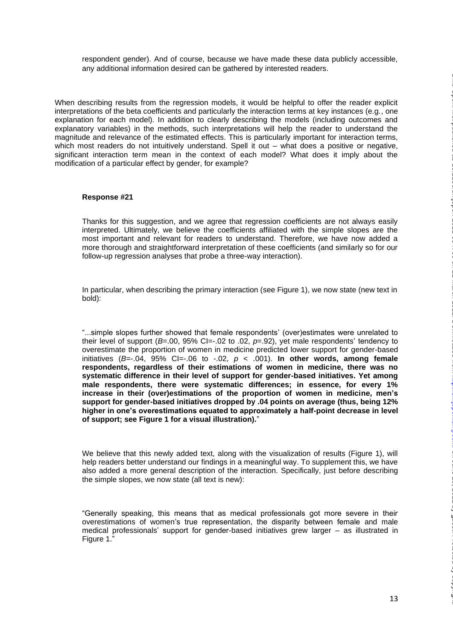respondent gender). And of course, because we have made these data publicly accessible, any additional information desired can be gathered by interested readers.

When describing results from the regression models, it would be helpful to offer the reader explicit interpretations of the beta coefficients and particularly the interaction terms at key instances (e.g., one explanation for each model). In addition to clearly describing the models (including outcomes and explanatory variables) in the methods, such interpretations will help the reader to understand the magnitude and relevance of the estimated effects. This is particularly important for interaction terms, which most readers do not intuitively understand. Spell it out – what does a positive or negative, significant interaction term mean in the context of each model? What does it imply about the modification of a particular effect by gender, for example?

### **Response #21**

Thanks for this suggestion, and we agree that regression coefficients are not always easily interpreted. Ultimately, we believe the coefficients affiliated with the simple slopes are the most important and relevant for readers to understand. Therefore, we have now added a more thorough and straightforward interpretation of these coefficients (and similarly so for our follow-up regression analyses that probe a three-way interaction).

In particular, when describing the primary interaction (see Figure 1), we now state (new text in bold):

"...simple slopes further showed that female respondents' (over)estimates were unrelated to their level of support (*B*=.00, 95% CI=-.02 to .02, *p*=.92), yet male respondents' tendency to overestimate the proportion of women in medicine predicted lower support for gender-based initiatives  $(B=-.04, 95\%$  CI=-.06 to  $-.02, p < .001$ ). In other words, among female **respondents, regardless of their estimations of women in medicine, there was no systematic difference in their level of support for gender-based initiatives. Yet among male respondents, there were systematic differences; in essence, for every 1% increase in their (over)estimations of the proportion of women in medicine, men's support for gender-based initiatives dropped by .04 points on average (thus, being 12% higher in one's overestimations equated to approximately a half-point decrease in level of support; see Figure 1 for a visual illustration).**"

We believe that this newly added text, along with the visualization of results (Figure 1), will help readers better understand our findings in a meaningful way. To supplement this, we have also added a more general description of the interaction. Specifically, just before describing the simple slopes, we now state (all text is new):

"Generally speaking, this means that as medical professionals got more severe in their overestimations of women's true representation, the disparity between female and male medical professionals' support for gender-based initiatives grew larger – as illustrated in Figure 1."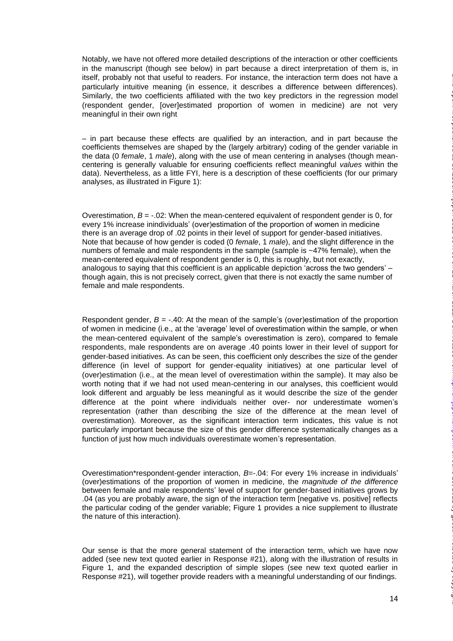Notably, we have not offered more detailed descriptions of the interaction or other coefficients in the manuscript (though see below) in part because a direct interpretation of them is, in itself, probably not that useful to readers. For instance, the interaction term does not have a particularly intuitive meaning (in essence, it describes a difference between differences). Similarly, the two coefficients affiliated with the two key predictors in the regression model (respondent gender, [over]estimated proportion of women in medicine) are not very meaningful in their own right

– in part because these effects are qualified by an interaction, and in part because the coefficients themselves are shaped by the (largely arbitrary) coding of the gender variable in the data (0 *female*, 1 *male*), along with the use of mean centering in analyses (though meancentering is generally valuable for ensuring coefficients reflect meaningful *values* within the data). Nevertheless, as a little FYI, here is a description of these coefficients (for our primary analyses, as illustrated in Figure 1):

Overestimation,  $B = -0.02$ : When the mean-centered equivalent of respondent gender is 0, for every 1% increase inindividuals' (over)estimation of the proportion of women in medicine there is an average drop of .02 points in their level of support for gender-based initiatives. Note that because of how gender is coded (0 *female*, 1 *male*), and the slight difference in the numbers of female and male respondents in the sample (sample is ~47% female), when the mean-centered equivalent of respondent gender is 0, this is roughly, but not exactly, analogous to saying that this coefficient is an applicable depiction 'across the two genders' – though again, this is not precisely correct, given that there is not exactly the same number of female and male respondents.

Respondent gender,  $B = -0.40$ : At the mean of the sample's (over)estimation of the proportion of women in medicine (i.e., at the 'average' level of overestimation within the sample, or when the mean-centered equivalent of the sample's overestimation is zero), compared to female respondents, male respondents are on average .40 points lower in their level of support for gender-based initiatives. As can be seen, this coefficient only describes the size of the gender difference (in level of support for gender-equality initiatives) at one particular level of (over)estimation (i.e., at the mean level of overestimation within the sample). It may also be worth noting that if we had not used mean-centering in our analyses, this coefficient would look different and arguably be less meaningful as it would describe the size of the gender difference at the point where individuals neither over- nor underestimate women's representation (rather than describing the size of the difference at the mean level of overestimation). Moreover, as the significant interaction term indicates, this value is not particularly important because the size of this gender difference systematically changes as a function of just how much individuals overestimate women's representation.

Overestimation\*respondent-gender interaction, *B*=-.04: For every 1% increase in individuals' (over)estimations of the proportion of women in medicine, the *magnitude of the difference* between female and male respondents' level of support for gender-based initiatives grows by .04 (as you are probably aware, the sign of the interaction term [negative vs. positive] reflects the particular coding of the gender variable; Figure 1 provides a nice supplement to illustrate the nature of this interaction).

Our sense is that the more general statement of the interaction term, which we have now added (see new text quoted earlier in Response #21), along with the illustration of results in Figure 1, and the expanded description of simple slopes (see new text quoted earlier in Response #21), will together provide readers with a meaningful understanding of our findings.